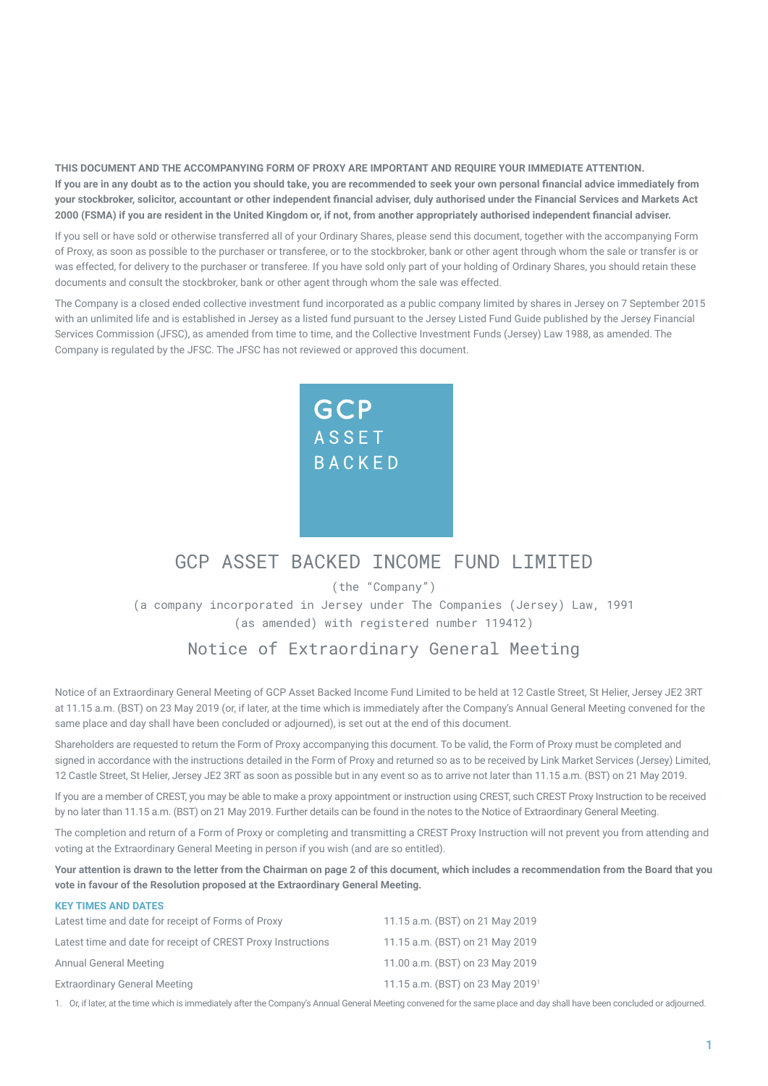**THIS DOCUMENT AND THE ACCOMPANYING FORM OF PROXY ARE IMPORTANT AND REQUIRE YOUR IMMEDIATE ATTENTION. If you are in any doubt as to the action you should take, you are recommended to seek your own personal financial advice immediately from your stockbroker, solicitor, accountant or other independent financial adviser, duly authorised under the Financial Services and Markets Act 2000 (FSMA) if you are resident in the United Kingdom or, if not, from another appropriately authorised independent financial adviser.**

If you sell or have sold or otherwise transferred all of your Ordinary Shares, please send this document, together with the accompanying Form of Proxy, as soon as possible to the purchaser or transferee, or to the stockbroker, bank or other agent through whom the sale or transfer is or was effected, for delivery to the purchaser or transferee. If you have sold only part of your holding of Ordinary Shares, you should retain these documents and consult the stockbroker, bank or other agent through whom the sale was effected.

The Company is a closed ended collective investment fund incorporated as a public company limited by shares in Jersey on 7 September 2015 with an unlimited life and is established in Jersey as a listed fund pursuant to the Jersey Listed Fund Guide published by the Jersey Financial Services Commission (JFSC), as amended from time to time, and the Collective Investment Funds (Jersey) Law 1988, as amended. The Company is regulated by the JFSC. The JFSC has not reviewed or approved this document.



# GCP ASSET BACKED INCOME FUND LIMITED

(the "Company")

(a company incorporated in Jersey under The Companies (Jersey) Law, 1991 (as amended) with registered number 119412)

## Notice of Extraordinary General Meeting

Notice of an Extraordinary General Meeting of GCP Asset Backed Income Fund Limited to be held at 12 Castle Street, St Helier, Jersey JE2 3RT at 11.15 a.m. (BST) on 23 May 2019 (or, if later, at the time which is immediately after the Company's Annual General Meeting convened for the same place and day shall have been concluded or adjourned), is set out at the end of this document.

Shareholders are requested to return the Form of Proxy accompanying this document. To be valid, the Form of Proxy must be completed and signed in accordance with the instructions detailed in the Form of Proxy and returned so as to be received by Link Market Services (Jersey) Limited, 12 Castle Street, St Helier, Jersey JE2 3RT as soon as possible but in any event so as to arrive not later than 11.15 a.m. (BST) on 21 May 2019.

If you are a member of CREST, you may be able to make a proxy appointment or instruction using CREST, such CREST Proxy Instruction to be received by no later than 11.15 a.m. (BST) on 21 May 2019. Further details can be found in the notes to the Notice of Extraordinary General Meeting.

The completion and return of a Form of Proxy or completing and transmitting a CREST Proxy Instruction will not prevent you from attending and voting at the Extraordinary General Meeting in person if you wish (and are so entitled).

**Your attention is drawn to the letter from the Chairman on page 2 of this document, which includes a recommendation from the Board that you vote in favour of the Resolution proposed at the Extraordinary General Meeting.**

| <b>KEY TIMES AND DATES</b>                                   |                                              |
|--------------------------------------------------------------|----------------------------------------------|
| Latest time and date for receipt of Forms of Proxy           | 11.15 a.m. (BST) on 21 May 2019              |
| Latest time and date for receipt of CREST Proxy Instructions | 11.15 a.m. (BST) on 21 May 2019              |
| <b>Annual General Meeting</b>                                | 11.00 a.m. (BST) on 23 May 2019              |
| <b>Extraordinary General Meeting</b>                         | 11.15 a.m. (BST) on 23 May 2019 <sup>1</sup> |

1. Or, if later, at the time which is immediately after the Company's Annual General Meeting convened for the same place and day shall have been concluded or adjourned.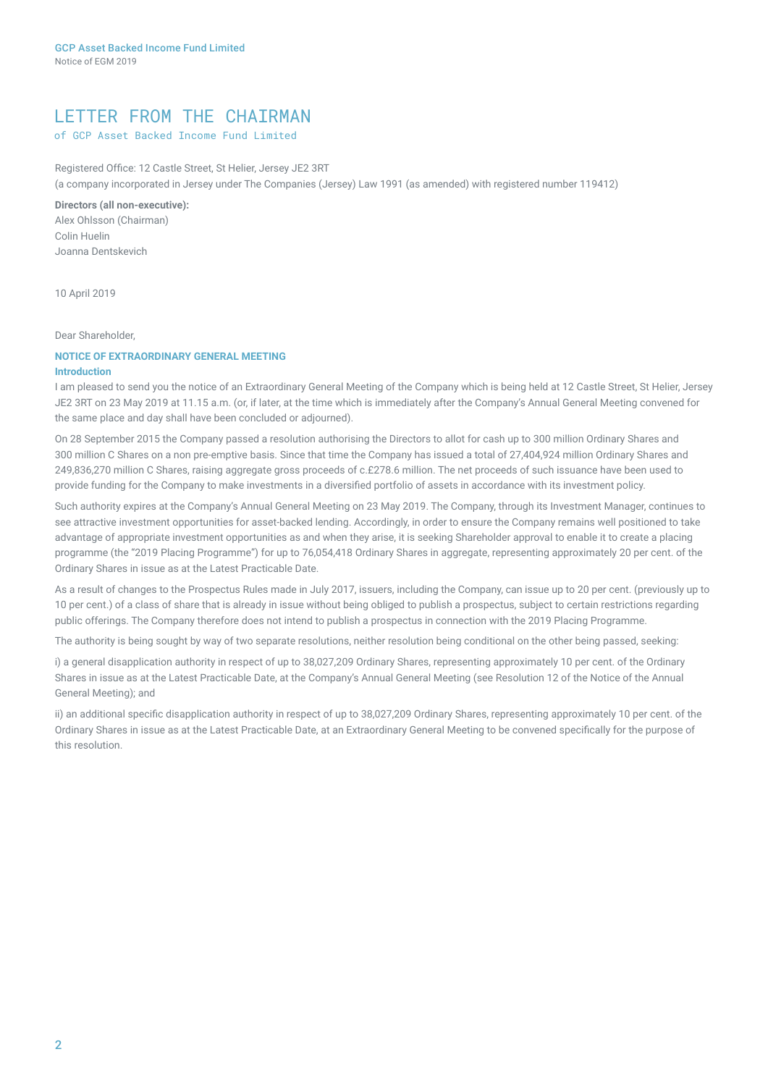## LETTER FROM THE CHAIRMAN

### of GCP Asset Backed Income Fund Limited

Registered Office: 12 Castle Street, St Helier, Jersey JE2 3RT (a company incorporated in Jersey under The Companies (Jersey) Law 1991 (as amended) with registered number 119412)

**Directors (all non-executive):**

Alex Ohlsson (Chairman) Colin Huelin Joanna Dentskevich

10 April 2019

#### Dear Shareholder,

### **NOTICE OF EXTRAORDINARY GENERAL MEETING**

#### **Introduction**

I am pleased to send you the notice of an Extraordinary General Meeting of the Company which is being held at 12 Castle Street, St Helier, Jersey JE2 3RT on 23 May 2019 at 11.15 a.m. (or, if later, at the time which is immediately after the Company's Annual General Meeting convened for the same place and day shall have been concluded or adjourned).

On 28 September 2015 the Company passed a resolution authorising the Directors to allot for cash up to 300 million Ordinary Shares and 300 million C Shares on a non pre-emptive basis. Since that time the Company has issued a total of 27,404,924 million Ordinary Shares and 249,836,270 million C Shares, raising aggregate gross proceeds of c.£278.6 million. The net proceeds of such issuance have been used to provide funding for the Company to make investments in a diversified portfolio of assets in accordance with its investment policy.

Such authority expires at the Company's Annual General Meeting on 23 May 2019. The Company, through its Investment Manager, continues to see attractive investment opportunities for asset-backed lending. Accordingly, in order to ensure the Company remains well positioned to take advantage of appropriate investment opportunities as and when they arise, it is seeking Shareholder approval to enable it to create a placing programme (the "2019 Placing Programme") for up to 76,054,418 Ordinary Shares in aggregate, representing approximately 20 per cent. of the Ordinary Shares in issue as at the Latest Practicable Date.

As a result of changes to the Prospectus Rules made in July 2017, issuers, including the Company, can issue up to 20 per cent. (previously up to 10 per cent.) of a class of share that is already in issue without being obliged to publish a prospectus, subject to certain restrictions regarding public offerings. The Company therefore does not intend to publish a prospectus in connection with the 2019 Placing Programme.

The authority is being sought by way of two separate resolutions, neither resolution being conditional on the other being passed, seeking:

i) a general disapplication authority in respect of up to 38,027,209 Ordinary Shares, representing approximately 10 per cent. of the Ordinary Shares in issue as at the Latest Practicable Date, at the Company's Annual General Meeting (see Resolution 12 of the Notice of the Annual General Meeting); and

ii) an additional specific disapplication authority in respect of up to 38,027,209 Ordinary Shares, representing approximately 10 per cent. of the Ordinary Shares in issue as at the Latest Practicable Date, at an Extraordinary General Meeting to be convened specifically for the purpose of this resolution.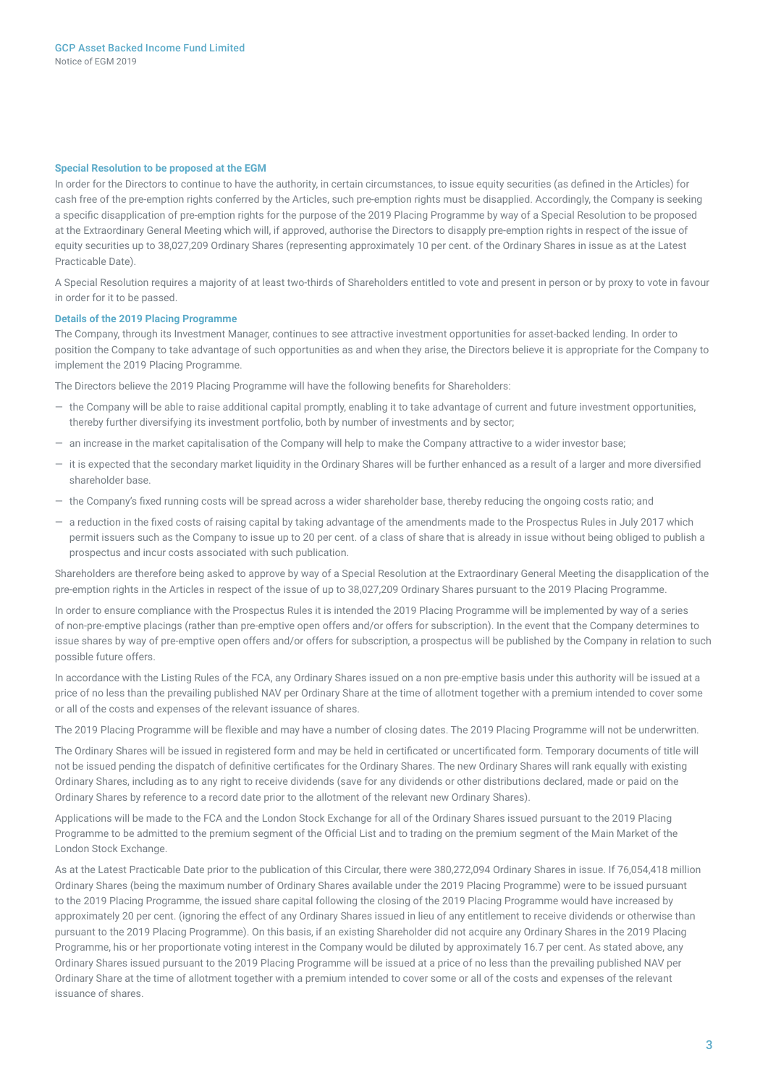#### **Special Resolution to be proposed at the EGM**

In order for the Directors to continue to have the authority, in certain circumstances, to issue equity securities (as defined in the Articles) for cash free of the pre-emption rights conferred by the Articles, such pre-emption rights must be disapplied. Accordingly, the Company is seeking a specific disapplication of pre-emption rights for the purpose of the 2019 Placing Programme by way of a Special Resolution to be proposed at the Extraordinary General Meeting which will, if approved, authorise the Directors to disapply pre-emption rights in respect of the issue of equity securities up to 38,027,209 Ordinary Shares (representing approximately 10 per cent. of the Ordinary Shares in issue as at the Latest Practicable Date).

A Special Resolution requires a majority of at least two-thirds of Shareholders entitled to vote and present in person or by proxy to vote in favour in order for it to be passed.

#### **Details of the 2019 Placing Programme**

The Company, through its Investment Manager, continues to see attractive investment opportunities for asset-backed lending. In order to position the Company to take advantage of such opportunities as and when they arise, the Directors believe it is appropriate for the Company to implement the 2019 Placing Programme.

The Directors believe the 2019 Placing Programme will have the following benefits for Shareholders:

- ― the Company will be able to raise additional capital promptly, enabling it to take advantage of current and future investment opportunities, thereby further diversifying its investment portfolio, both by number of investments and by sector;
- ― an increase in the market capitalisation of the Company will help to make the Company attractive to a wider investor base;
- ― it is expected that the secondary market liquidity in the Ordinary Shares will be further enhanced as a result of a larger and more diversified shareholder base.
- ― the Company's fixed running costs will be spread across a wider shareholder base, thereby reducing the ongoing costs ratio; and
- ― a reduction in the fixed costs of raising capital by taking advantage of the amendments made to the Prospectus Rules in July 2017 which permit issuers such as the Company to issue up to 20 per cent. of a class of share that is already in issue without being obliged to publish a prospectus and incur costs associated with such publication.

Shareholders are therefore being asked to approve by way of a Special Resolution at the Extraordinary General Meeting the disapplication of the pre-emption rights in the Articles in respect of the issue of up to 38,027,209 Ordinary Shares pursuant to the 2019 Placing Programme.

In order to ensure compliance with the Prospectus Rules it is intended the 2019 Placing Programme will be implemented by way of a series of non-pre-emptive placings (rather than pre-emptive open offers and/or offers for subscription). In the event that the Company determines to issue shares by way of pre-emptive open offers and/or offers for subscription, a prospectus will be published by the Company in relation to such possible future offers.

In accordance with the Listing Rules of the FCA, any Ordinary Shares issued on a non pre-emptive basis under this authority will be issued at a price of no less than the prevailing published NAV per Ordinary Share at the time of allotment together with a premium intended to cover some or all of the costs and expenses of the relevant issuance of shares.

The 2019 Placing Programme will be flexible and may have a number of closing dates. The 2019 Placing Programme will not be underwritten.

The Ordinary Shares will be issued in registered form and may be held in certificated or uncertificated form. Temporary documents of title will not be issued pending the dispatch of definitive certificates for the Ordinary Shares. The new Ordinary Shares will rank equally with existing Ordinary Shares, including as to any right to receive dividends (save for any dividends or other distributions declared, made or paid on the Ordinary Shares by reference to a record date prior to the allotment of the relevant new Ordinary Shares).

Applications will be made to the FCA and the London Stock Exchange for all of the Ordinary Shares issued pursuant to the 2019 Placing Programme to be admitted to the premium segment of the Official List and to trading on the premium segment of the Main Market of the London Stock Exchange.

As at the Latest Practicable Date prior to the publication of this Circular, there were 380,272,094 Ordinary Shares in issue. If 76,054,418 million Ordinary Shares (being the maximum number of Ordinary Shares available under the 2019 Placing Programme) were to be issued pursuant to the 2019 Placing Programme, the issued share capital following the closing of the 2019 Placing Programme would have increased by approximately 20 per cent. (ignoring the effect of any Ordinary Shares issued in lieu of any entitlement to receive dividends or otherwise than pursuant to the 2019 Placing Programme). On this basis, if an existing Shareholder did not acquire any Ordinary Shares in the 2019 Placing Programme, his or her proportionate voting interest in the Company would be diluted by approximately 16.7 per cent. As stated above, any Ordinary Shares issued pursuant to the 2019 Placing Programme will be issued at a price of no less than the prevailing published NAV per Ordinary Share at the time of allotment together with a premium intended to cover some or all of the costs and expenses of the relevant issuance of shares.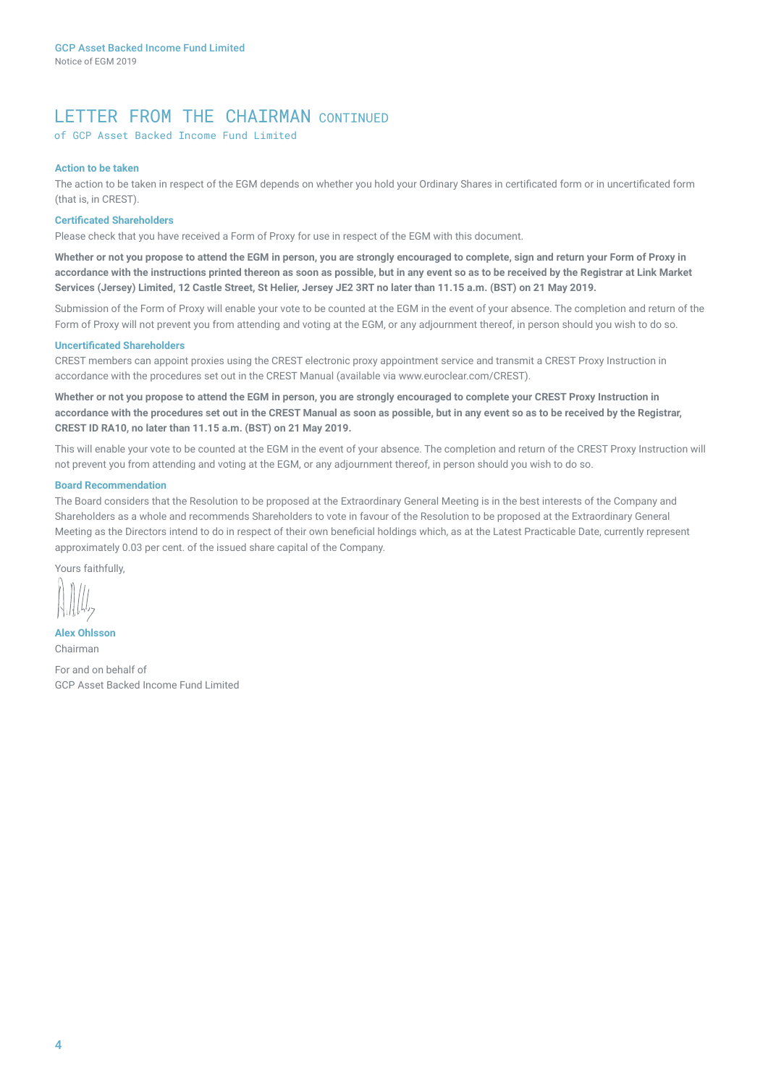## LETTER FROM THE CHAIRMAN CONTINUED

of GCP Asset Backed Income Fund Limited

#### **Action to be taken**

The action to be taken in respect of the EGM depends on whether you hold your Ordinary Shares in certificated form or in uncertificated form (that is, in CREST).

#### **Certificated Shareholders**

Please check that you have received a Form of Proxy for use in respect of the EGM with this document.

**Whether or not you propose to attend the EGM in person, you are strongly encouraged to complete, sign and return your Form of Proxy in accordance with the instructions printed thereon as soon as possible, but in any event so as to be received by the Registrar at Link Market Services (Jersey) Limited, 12 Castle Street, St Helier, Jersey JE2 3RT no later than 11.15 a.m. (BST) on 21 May 2019.**

Submission of the Form of Proxy will enable your vote to be counted at the EGM in the event of your absence. The completion and return of the Form of Proxy will not prevent you from attending and voting at the EGM, or any adjournment thereof, in person should you wish to do so.

#### **Uncertificated Shareholders**

CREST members can appoint proxies using the CREST electronic proxy appointment service and transmit a CREST Proxy Instruction in accordance with the procedures set out in the CREST Manual (available via www.euroclear.com/CREST).

**Whether or not you propose to attend the EGM in person, you are strongly encouraged to complete your CREST Proxy Instruction in accordance with the procedures set out in the CREST Manual as soon as possible, but in any event so as to be received by the Registrar, CREST ID RA10, no later than 11.15 a.m. (BST) on 21 May 2019.**

This will enable your vote to be counted at the EGM in the event of your absence. The completion and return of the CREST Proxy Instruction will not prevent you from attending and voting at the EGM, or any adjournment thereof, in person should you wish to do so.

#### **Board Recommendation**

The Board considers that the Resolution to be proposed at the Extraordinary General Meeting is in the best interests of the Company and Shareholders as a whole and recommends Shareholders to vote in favour of the Resolution to be proposed at the Extraordinary General Meeting as the Directors intend to do in respect of their own beneficial holdings which, as at the Latest Practicable Date, currently represent approximately 0.03 per cent. of the issued share capital of the Company.

Yours faithfully,

**Alex Ohlsson** Chairman For and on behalf of GCP Asset Backed Income Fund Limited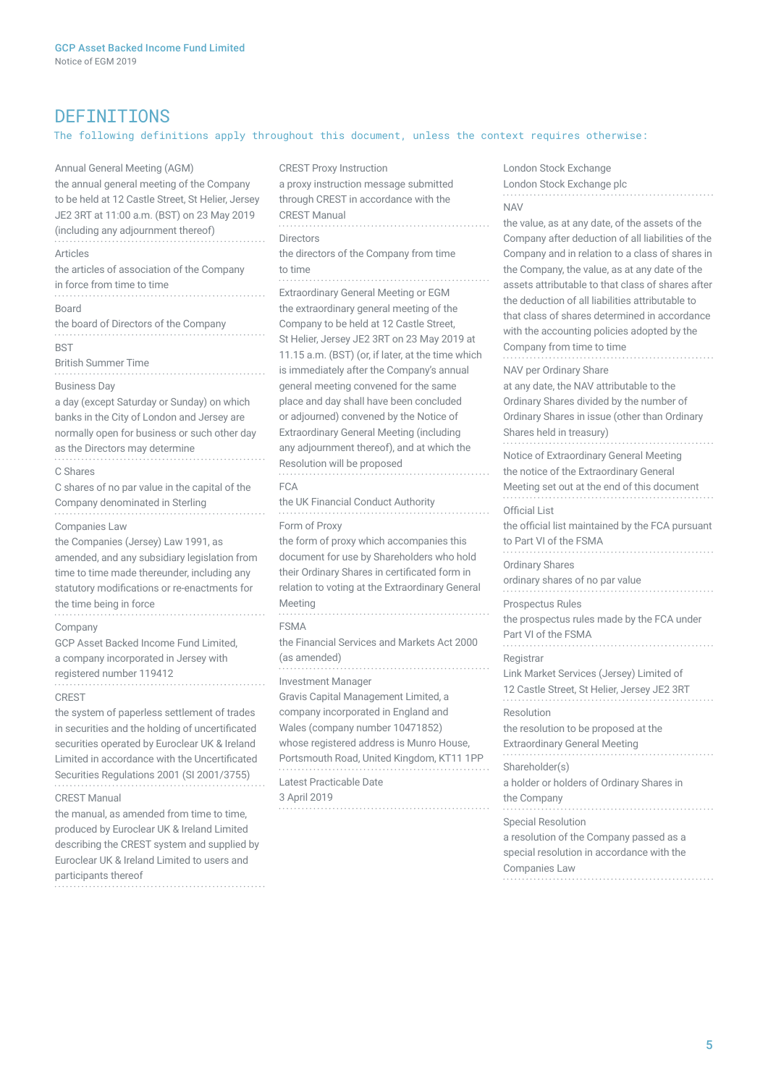### DEFINITIONS

### The following definitions apply throughout this document, unless the context requires otherwise:

Annual General Meeting (AGM) the annual general meeting of the Company to be held at 12 Castle Street, St Helier, Jersey JE2 3RT at 11:00 a.m. (BST) on 23 May 2019 (including any adjournment thereof) Articles the articles of association of the Company in force from time to time Board the board of Directors of the Company **BST** British Summer Time Business Day a day (except Saturday or Sunday) on which banks in the City of London and Jersey are normally open for business or such other day as the Directors may determine C Shares C shares of no par value in the capital of the Company denominated in Sterling Companies Law the Companies (Jersey) Law 1991, as amended, and any subsidiary legislation from time to time made thereunder, including any statutory modifications or re-enactments for the time being in force Company GCP Asset Backed Income Fund Limited, a company incorporated in Jersey with registered number 119412 CREST the system of paperless settlement of trades in securities and the holding of uncertificated securities operated by Euroclear UK & Ireland Limited in accordance with the Uncertificated Securities Regulations 2001 (SI 2001/3755) CREST Manual the manual, as amended from time to time, produced by Euroclear UK & Ireland Limited describing the CREST system and supplied by Euroclear UK & Ireland Limited to users and CREST Proxy Instruction a proxy instruction message submitted through CREST in accordance with the CREST Manual Directors the directors of the Company from time to time Extraordinary General Meeting or EGM the extraordinary general meeting of the Company to be held at 12 Castle Street, St Helier, Jersey JE2 3RT on 23 May 2019 at 11.15 a.m. (BST) (or, if later, at the time which is immediately after the Company's annual general meeting convened for the same place and day shall have been concluded or adjourned) convened by the Notice of Extraordinary General Meeting (including any adjournment thereof), and at which the Resolution will be proposed FCA the UK Financial Conduct Authority Form of Proxy the form of proxy which accompanies this document for use by Shareholders who hold their Ordinary Shares in certificated form in relation to voting at the Extraordinary General Meeting FSMA the Financial Services and Markets Act 2000 (as amended) Investment Manager Gravis Capital Management Limited, a company incorporated in England and Wales (company number 10471852) whose registered address is Munro House. Portsmouth Road, United Kingdom, KT11 1PP Latest Practicable Date 3 April 2019 London Stock Exchange London Stock Exchange plc NAV the value, as at any date, of the assets of the Company after deduction of all liabilities of the Company and in relation to a class of shares in the Company, the value, as at any date of the assets attributable to that class of shares after the deduction of all liabilities attributable to that class of shares determined in accordance with the accounting policies adopted by the Company from time to time NAV per Ordinary Share at any date, the NAV attributable to the Shares held in treasury) Notice of Extraordinary General Meeting the notice of the Extraordinary General Official List to Part VI of the FSMA Ordinary Shares ordinary shares of no par value Prospectus Rules Part VI of the FSMA **Registrar** Link Market Services (Jersey) Limited of Resolution the resolution to be proposed at the Extraordinary General Meeting Shareholder(s) a holder or holders of Ordinary Shares in the Company Special Resolution

participants thereof

Ordinary Shares divided by the number of Ordinary Shares in issue (other than Ordinary

Meeting set out at the end of this document

the official list maintained by the FCA pursuant

the prospectus rules made by the FCA under

12 Castle Street, St Helier, Jersey JE2 3RT

a resolution of the Company passed as a special resolution in accordance with the Companies Law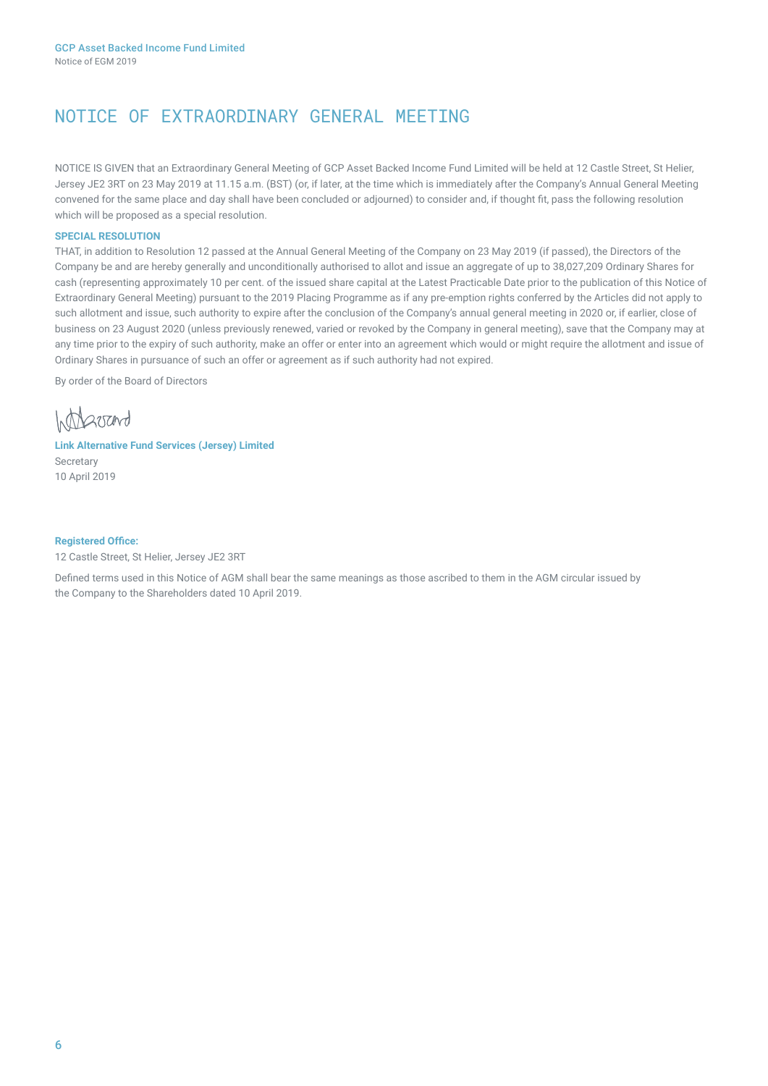# NOTICE OF EXTRAORDINARY GENERAL MEETING

NOTICE IS GIVEN that an Extraordinary General Meeting of GCP Asset Backed Income Fund Limited will be held at 12 Castle Street, St Helier, Jersey JE2 3RT on 23 May 2019 at 11.15 a.m. (BST) (or, if later, at the time which is immediately after the Company's Annual General Meeting convened for the same place and day shall have been concluded or adjourned) to consider and, if thought fit, pass the following resolution which will be proposed as a special resolution.

### **SPECIAL RESOLUTION**

THAT, in addition to Resolution 12 passed at the Annual General Meeting of the Company on 23 May 2019 (if passed), the Directors of the Company be and are hereby generally and unconditionally authorised to allot and issue an aggregate of up to 38,027,209 Ordinary Shares for cash (representing approximately 10 per cent. of the issued share capital at the Latest Practicable Date prior to the publication of this Notice of Extraordinary General Meeting) pursuant to the 2019 Placing Programme as if any pre-emption rights conferred by the Articles did not apply to such allotment and issue, such authority to expire after the conclusion of the Company's annual general meeting in 2020 or, if earlier, close of business on 23 August 2020 (unless previously renewed, varied or revoked by the Company in general meeting), save that the Company may at any time prior to the expiry of such authority, make an offer or enter into an agreement which would or might require the allotment and issue of Ordinary Shares in pursuance of such an offer or agreement as if such authority had not expired.

By order of the Board of Directors

**Intractord** 

### **Link Alternative Fund Services (Jersey) Limited**  Secretary 10 April 2019

#### **Registered Office:**

12 Castle Street, St Helier, Jersey JE2 3RT

Defined terms used in this Notice of AGM shall bear the same meanings as those ascribed to them in the AGM circular issued by the Company to the Shareholders dated 10 April 2019.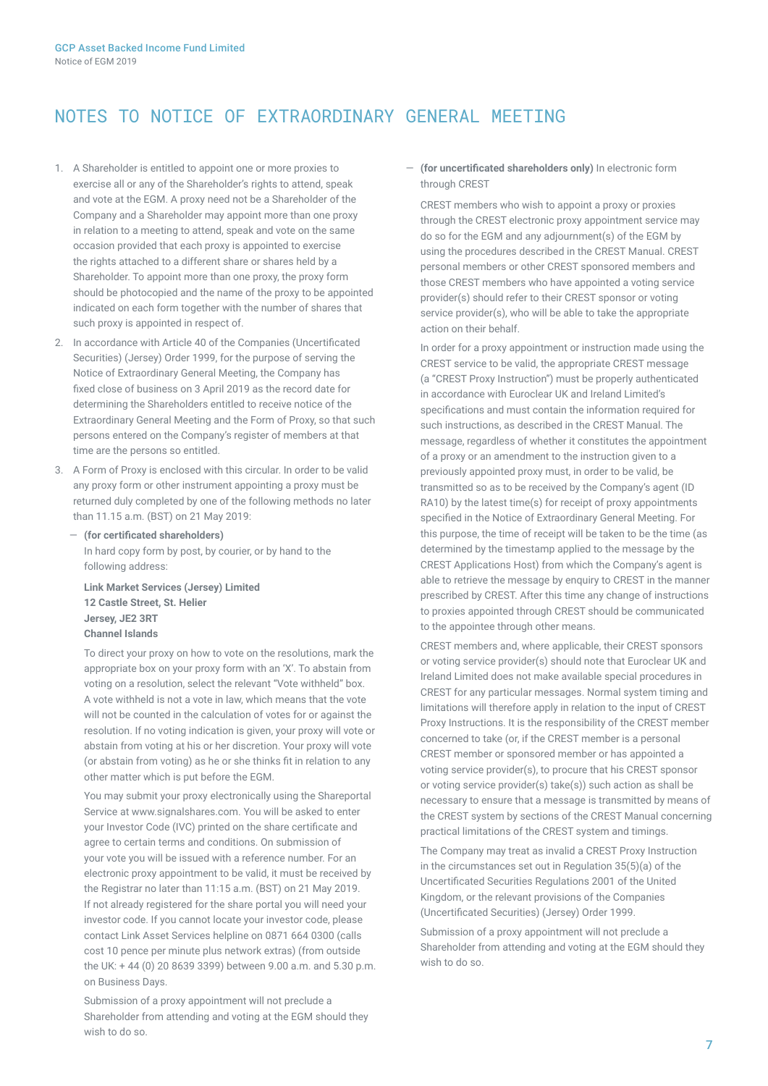# NOTES TO NOTICE OF EXTRAORDINARY GENERAL MEETING

- 1. A Shareholder is entitled to appoint one or more proxies to exercise all or any of the Shareholder's rights to attend, speak and vote at the EGM. A proxy need not be a Shareholder of the Company and a Shareholder may appoint more than one proxy in relation to a meeting to attend, speak and vote on the same occasion provided that each proxy is appointed to exercise the rights attached to a different share or shares held by a Shareholder. To appoint more than one proxy, the proxy form should be photocopied and the name of the proxy to be appointed indicated on each form together with the number of shares that such proxy is appointed in respect of.
- 2. In accordance with Article 40 of the Companies (Uncertificated Securities) (Jersey) Order 1999, for the purpose of serving the Notice of Extraordinary General Meeting, the Company has fixed close of business on 3 April 2019 as the record date for determining the Shareholders entitled to receive notice of the Extraordinary General Meeting and the Form of Proxy, so that such persons entered on the Company's register of members at that time are the persons so entitled.
- 3. A Form of Proxy is enclosed with this circular. In order to be valid any proxy form or other instrument appointing a proxy must be returned duly completed by one of the following methods no later than 11.15 a.m. (BST) on 21 May 2019:
	- ― **(for certificated shareholders)** In hard copy form by post, by courier, or by hand to the following address:

**Link Market Services (Jersey) Limited 12 Castle Street, St. Helier Jersey, JE2 3RT Channel Islands**

To direct your proxy on how to vote on the resolutions, mark the appropriate box on your proxy form with an 'X'. To abstain from voting on a resolution, select the relevant "Vote withheld" box. A vote withheld is not a vote in law, which means that the vote will not be counted in the calculation of votes for or against the resolution. If no voting indication is given, your proxy will vote or abstain from voting at his or her discretion. Your proxy will vote (or abstain from voting) as he or she thinks fit in relation to any other matter which is put before the EGM.

You may submit your proxy electronically using the Shareportal Service at www.signalshares.com. You will be asked to enter your Investor Code (IVC) printed on the share certificate and agree to certain terms and conditions. On submission of your vote you will be issued with a reference number. For an electronic proxy appointment to be valid, it must be received by the Registrar no later than 11:15 a.m. (BST) on 21 May 2019. If not already registered for the share portal you will need your investor code. If you cannot locate your investor code, please contact Link Asset Services helpline on 0871 664 0300 (calls cost 10 pence per minute plus network extras) (from outside the UK: + 44 (0) 20 8639 3399) between 9.00 a.m. and 5.30 p.m. on Business Days.

Submission of a proxy appointment will not preclude a Shareholder from attending and voting at the EGM should they wish to do so.

― **(for uncertificated shareholders only)** In electronic form through CREST

CREST members who wish to appoint a proxy or proxies through the CREST electronic proxy appointment service may do so for the EGM and any adjournment(s) of the EGM by using the procedures described in the CREST Manual. CREST personal members or other CREST sponsored members and those CREST members who have appointed a voting service provider(s) should refer to their CREST sponsor or voting service provider(s), who will be able to take the appropriate action on their behalf.

In order for a proxy appointment or instruction made using the CREST service to be valid, the appropriate CREST message (a "CREST Proxy Instruction") must be properly authenticated in accordance with Euroclear UK and Ireland Limited's specifications and must contain the information required for such instructions, as described in the CREST Manual. The message, regardless of whether it constitutes the appointment of a proxy or an amendment to the instruction given to a previously appointed proxy must, in order to be valid, be transmitted so as to be received by the Company's agent (ID RA10) by the latest time(s) for receipt of proxy appointments specified in the Notice of Extraordinary General Meeting. For this purpose, the time of receipt will be taken to be the time (as determined by the timestamp applied to the message by the CREST Applications Host) from which the Company's agent is able to retrieve the message by enquiry to CREST in the manner prescribed by CREST. After this time any change of instructions to proxies appointed through CREST should be communicated to the appointee through other means.

CREST members and, where applicable, their CREST sponsors or voting service provider(s) should note that Euroclear UK and Ireland Limited does not make available special procedures in CREST for any particular messages. Normal system timing and limitations will therefore apply in relation to the input of CREST Proxy Instructions. It is the responsibility of the CREST member concerned to take (or, if the CREST member is a personal CREST member or sponsored member or has appointed a voting service provider(s), to procure that his CREST sponsor or voting service provider(s) take(s)) such action as shall be necessary to ensure that a message is transmitted by means of the CREST system by sections of the CREST Manual concerning practical limitations of the CREST system and timings.

The Company may treat as invalid a CREST Proxy Instruction in the circumstances set out in Regulation 35(5)(a) of the Uncertificated Securities Regulations 2001 of the United Kingdom, or the relevant provisions of the Companies (Uncertificated Securities) (Jersey) Order 1999.

Submission of a proxy appointment will not preclude a Shareholder from attending and voting at the EGM should they wish to do so.